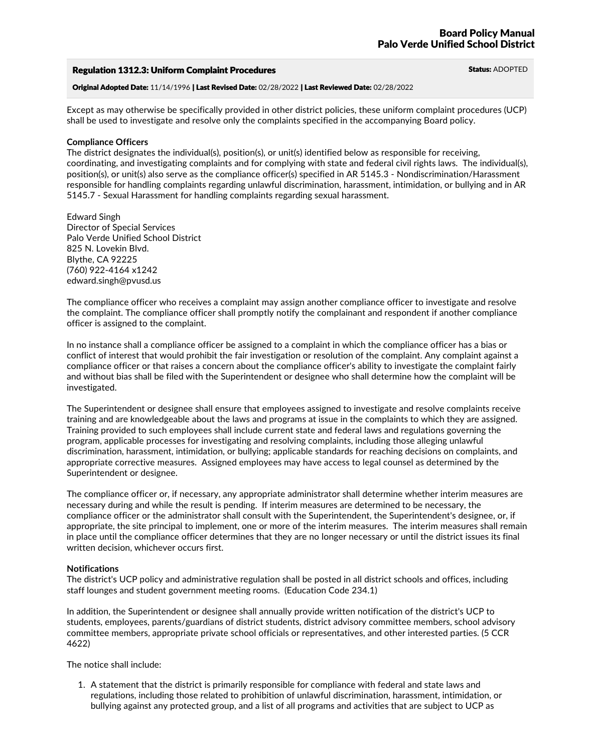#### Regulation 1312.3: Uniform Complaint Procedures Status: ADOPTED

Original Adopted Date: 11/14/1996 | Last Revised Date: 02/28/2022 | Last Reviewed Date: 02/28/2022

Except as may otherwise be specifically provided in other district policies, these uniform complaint procedures (UCP) shall be used to investigate and resolve only the complaints specified in the accompanying Board policy.

#### **Compliance Officers**

The district designates the individual(s), position(s), or unit(s) identified below as responsible for receiving,<br>coordinating, and investigating complaints and for complying with state and federal civil rights laws. The i responsible for handling complaints regarding unlawful discrimination, harassment, intimidation, or bullying and in AR 5145.7 - Sexual Harassment for handling complaints regarding sexual harassment.

Edward Singh Director of Special Services Palo Verde Unified School District <sup>825</sup> N. Lovekin Blvd. Blythe, CA <sup>92225</sup> (760) 922-4164 x1242 edward.singh@pvusd.us

The compliance officer who receives a complaint may assign another compliance officer to investigate and resolve the complaint. The compliance officer shall promptly notify the complainant and respondent if another compliance officer is assigned to the complaint.

In no instance shall a compliance officer be assigned to a complaint in which the compliance officer has a bias or conflict of interest that would prohibit the fair investigation or resolution of the complaint. Any complaint against a compliance officer or that raises a concern about the compliance officer's ability to investigate the complaint fairly and without bias shall be filed with the Superintendent or designee who shall determine how the complaint will be investigated.

The Superintendent or designee shall ensure that employees assigned to investigate and resolve complaints receive training and are knowledgeable about the laws and programs at issue in the complaints to which they are assigned. Training provided to such employees shall include current state and federal laws and regulations governing the program, applicable processes for investigating and resolving complaints, including those alleging unlawful discrimination, harassment, intimidation, or bullying; applicable standards for reaching decisions on complaints, and appropriate corrective measures. Assigned employees may have access to legal counsel as determined by the Superintendent or designee.

The compliance officer or, if necessary, any appropriate administrator shall determine whether interim measures are necessary during and while the result is pending. If interim measures are determined to be necessary, the compliance officer or the administrator shall consult with the Superintendent, the Superintendent's designee, or, if appropriate, the site principal to implement, one or more of the interim measures. The interim measures shall remain in place until the compliance officer determines that they are no longer necessary or until the district issues its final written decision, whichever occurs first.

## **Notifications**

The district's UCP policy and administrative regulation shall be posted in all district schools and offices, including staff lounges and student government meeting rooms. (Education Code 234.1)

In addition, the Superintendent or designee shall annually provide written notification of the district's UCP to students, employees, parents/guardians of district students, district advisory committee members, school advisory committee members, appropriate private school officials or representatives, and other interested parties. (5 CCR 4622)

The notice shall include:

1. A statement that the district is primarily responsible for compliance with federal and state laws and regulations, including those related to prohibition of unlawful discrimination, harassment, intimidation, or bullying against any protected group, and a list of all programs and activities that are subject to UCP as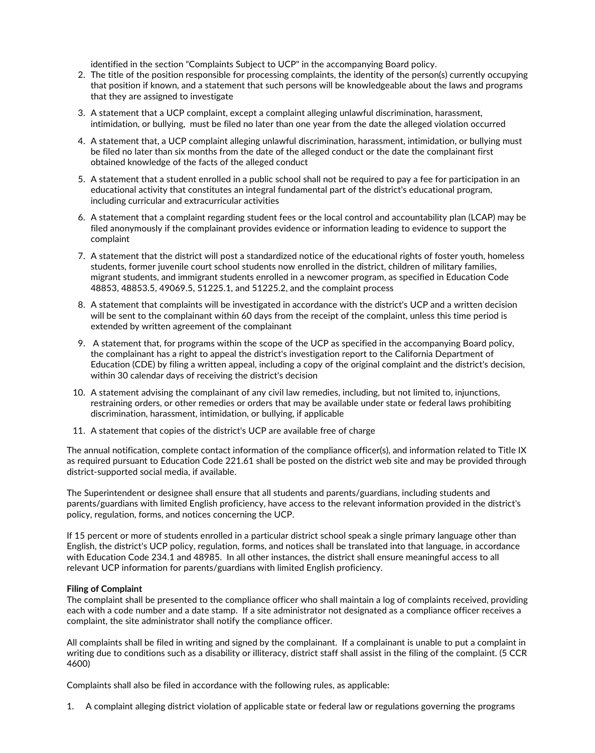- identified in the section "Complaints Subject to UCP" in the accompanying Board policy. 2. The title of the position responsible for processing complaints, the identity of the person(s) currently occupying that position if known, and a statement that such persons will be knowledgeable about the laws and programs that they are assigned to investigate
- 3. A statement that a UCP complaint, except a complaint alleging unlawful discrimination, harassment, intimidation, or bullying, must be filed no later than one year from the date the alleged violation occurred
- 4. A statement that, a UCP complaint alleging unlawful discrimination, harassment, intimidation, or bullying must be filed no later than six months from the date of the alleged conduct or the date the complainant first obtained knowledge of the facts of the alleged conduct
- 5. A statement that a student enrolled in a public school shall not be required to pay a fee for participation in an educational activity that constitutes an integral fundamental part of the district's educational program, including curricular and extracurricular activities
- 6. A statement that a complaint regarding student fees or the local control and accountability plan (LCAP) may be filed anonymously ifthe complainant provides evidence or information leading to evidence to support the complaint
- 7. A statement that the district will post a standardized notice of the educational rights of foster youth, homeless students, former juvenile court school students now enrolled in the district, children of military families,<br>migrant students, and immigrant students enrolled in a newcomer program, as specified in Education Code 48853, 48853.5, 49069.5, 51225.1, and 51225.2, and the complaint process
- 8. A statement that complaints will be investigated in accordance with the district's UCP and a written decision will be sent to the complainant within 60 days from the receipt of the complaint, unless this time period is extended by written agreement of the complainant
- 9. <sup>A</sup> statement that, for programs within the scope of the UCP as specified in the accompanying Board policy, the complainant has <sup>a</sup> right to appeal the district's investigation report to the California Department of Education (CDE) by filing <sup>a</sup> written appeal, including <sup>a</sup> copy of the original complaint and the district's decision, within <sup>30</sup> calendar days of receiving the district's decision
- 10. A statement advising the complainant of any civil law remedies, including, but not limited to, injunctions,<br>restraining orders, or other remedies or orders that may be available under state or federal laws prohibiting discrimination, harassment, intimidation, or bullying, if applicable
- 11. A statement that copies of the district's UCP are available free of charge

The annual notification, complete contact information of the compliance officer(s), and information related to Title IX as required pursuant to Education Code 221.61 shall be posted on the district web site and may be provided through district-supported social media, if available.

The Superintendent or designee shall ensure that all students and parents/guardians, including students and parents/guardians with limited English proficiency, have access to the relevant information provided in the district's policy, regulation, forms, and notices concerning the UCP.

If 15 percent or more of students enrolled in a particular district school speak a single primary language other than English, the district's UCP policy, regulation, forms, and notices shall be translated into that language, in accordance with Education Code 234.1 and 48985. In all other instances, the district shall ensure meaningful access to all relevant UCP information for parents/guardians with limited English proficiency.

## **Filing of Complaint**

The complaint shall be presented to the compliance officer who shall maintain a log of complaints received, providing each with a code number and a date stamp. If a site administrator not designated as a compliance officer receives a complaint, the site administrator shall notify the compliance officer.

All complaints shall be filed in writing and signed by the complainant. If a complainant is unable to put a complaint in writing due to conditions such as a disability or illiteracy, district staff shall assist in the filing of the complaint. (5 CCR 4600)

Complaints shall also be filed in accordance with the following rules, as applicable:

1. A complaint alleging district violation of applicable state or federal law or regulations governing the programs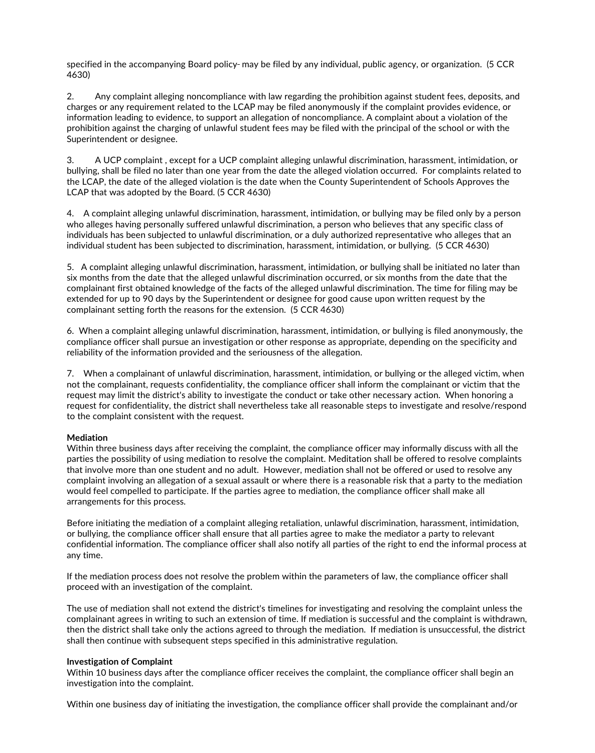specified in the accompanying Board policy- may be filed by any individual, public agency, or organization. (5 CCR 4630)

2. Any complaint alleging noncompliance with law regarding the prohibition against student fees, deposits, and charges or any requirement related to the LCAP may be filed anonymously if the complaint provides evidence, or information leading to evidence, to support an allegation of noncompliance. A complaint about a violation of the prohibition against the charging of unlawful student fees may be filed with the principal of the school or with the Superintendent or designee.

3. A UCP complaint , except for a UCP complaint alleging unlawful discrimination, harassment, intimidation, or bullying, shall be filed no later than one year from the date the alleged violation occurred. For complaints related to the LCAP, the date of the alleged violation is the date when the County Superintendent of Schools Approves the LCAP that was adopted by the Board. (5 CCR 4630)

4. A complaint alleging unlawful discrimination, harassment, intimidation, or bullying may be filed only by a person who alleges having personally suffered unlawful discrimination, a person who believes that any specific class of individuals has been subjected to unlawful discrimination, or a duly authorized representative who alleges that an individual student has been subjected to discrimination, harassment, intimidation, or bullying. (5 CCR 4630)

5. A complaint alleging unlawful discrimination, harassment, intimidation, or bullying shall be initiated no later than six months from the date that the alleged unlawful discrimination occurred, or six months from the date that the complainant first obtained knowledge of the facts of the alleged unlawful discrimination. The time for filing may be extended for up to 90 days by the Superintendent or designee for good cause upon written request by the complainant setting forth the reasons for the extension. (5 CCR 4630)

6. When a complaint alleging unlawful discrimination, harassment, intimidation, or bullying is filed anonymously, the compliance officer shall pursue an investigation or other response as appropriate, depending on the specificity and reliability of the information provided and the seriousness of the allegation.

7. When a complainant of unlawful discrimination, harassment, intimidation, or bullying or the alleged victim, when not the complainant, requests confidentiality, the compliance officer shall inform the complainant or victim that the request may limit the district's ability to investigate the conduct or take other necessary action. When honoring a request for confidentiality, the district shall nevertheless take all reasonable steps to investigate and resolve/respond to the complaint consistent with the request.

# **Mediation**

Within three business days after receiving the complaint, the compliance officer may informally discuss with all the parties the possibility of using mediation to resolve the complaint. Meditation shall be offered to resolve complaints that involve more than one student and no adult. However, mediation shall not be offered or used to resolve any complaint involving an allegation of a sexual assault or where there is a reasonable risk that a party to the mediation would feel compelled to participate. If the parties agree to mediation, the compliance officer shall make all arrangements for this process.

Before initiating the mediation of a complaint alleging retaliation, unlawful discrimination, harassment, intimidation, or bullying, the compliance officer shall ensure that all parties agree to make the mediator a party t confidential information. The compliance officer shall also notify all parties of the right to end the informal process at any time.

If the mediation process does not resolve the problem within the parameters of law, the compliance officer shall proceed with an investigation of the complaint.

The use of mediation shall not extend the district's timelines for investigating and resolving the complaint unless the complainant agrees in writing to such an extension of time. If mediation is successful and the complaint is withdrawn,<br>then the district shall take only the actions agreed to through the mediation. If mediation is unsucces shall then continue with subsequent steps specified in this administrative regulation.

## **Investigation of Complaint**

Within 10 business days after the compliance officer receives the complaint, the compliance officer shall begin an investigation into the complaint.

Within one business day of initiating the investigation, the compliance officer shall provide the complainant and/or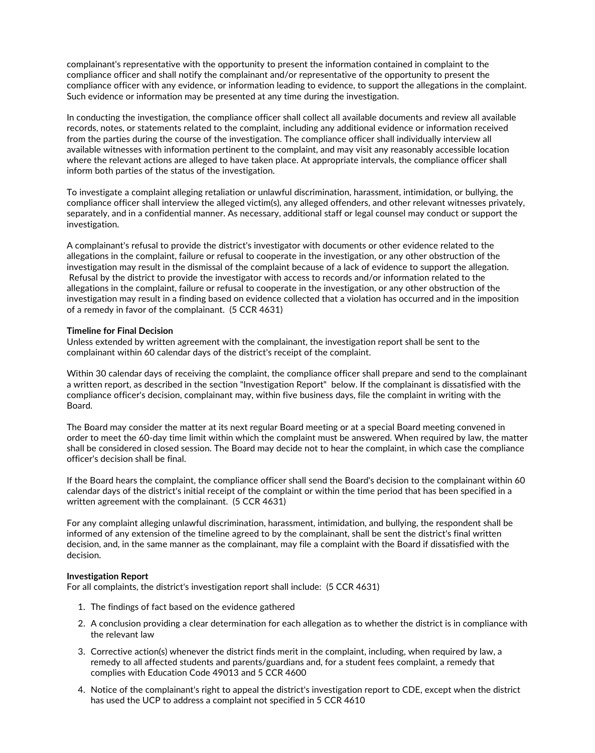complainant's representative with the opportunity to present the information contained in complaint to the compliance officer and shall notify the complainant and/or representative of the opportunity to present the compliance officer with any evidence, or information leading to evidence, to support the allegations in the complaint. Such evidence or information may be presented at any time during the investigation.

In conducting the investigation, the compliance officer shall collect all available documents and review all available records, notes, or statements related to the complaint, including any additional evidence or information received from the parties during the course of the investigation. The compliance officer shall individually interview all available witnesses with information pertinent to the complaint, and may visit any reasonably accessible location where the relevant actions are alleged to have taken place. At appropriate intervals, the compliance officer shall inform both parties of the status of the investigation.

To investigate a complaint alleging retaliation or unlawful discrimination, harassment, intimidation, or bullying, the compliance officer shall interview the alleged victim(s), any alleged offenders, and other relevant witnesses privately,<br>separately, and in a confidential manner. As necessary, additional staff or legal counsel may conduct investigation.

A complainant's refusal to provide the district's investigator with documents or other evidence related to the allegations in the complaint, failure or refusal to cooperate in the investigation, or any other obstruction of the investigation may result in the dismissal of the complaint because of <sup>a</sup> lack of evidence to support the allegation. Refusal by the district to provide the investigator with access to records and/or information related to the allegations in the complaint, failure or refusal to cooperate in the investigation, or any other obstruction of the investigation may result in a finding based on evidence collected that a violation has occurred and in the imposition of a remedy in favor of the complainant. (5 CCR 4631)

## **Timeline for Final Decision**

Unless extended by written agreement with the complainant, the investigation report shall be sent to the complainant within 60 calendar days of the district's receipt of the complaint.

Within 30 calendar days of receiving the complaint, the compliance officer shall prepare and send to the complainant a written report, as described in the section "Investigation Report" below. If the complainant is dissatisfied with the compliance officer's decision, complainant may, within five business days, file the complaint in writing with the Board.

The Board may consider the matter at its next regular Board meeting or at a special Board meeting convened in order to meet the 60-day time limit within which the complaint must be answered. When required by law, the matter shall be considered in closed session. The Board may decide not to hear the complaint, in which case the compliance officer's decision shall be final.

If the Board hears the complaint, the compliance officer shall send the Board's decision to the complainant within 60 calendar days of the district's initial receipt of the complaint or within the time period that has been specified in a written agreement with the complainant. (5 CCR 4631)

For any complaint alleging unlawful discrimination, harassment, intimidation, and bullying, the respondent shall be informed of any extension of the timeline agreed to by the complainant, shall be sent the district's final written decision, and, in the same manner as the complainant, may file a complaint with the Board if dissatisfied with the decision.

## **Investigation Report**

For all complaints, the district's investigation report shall include: (5 CCR 4631)

- 1. The findings of fact based on the evidence gathered
- 2. A conclusion providing a clear determination for each allegation as to whether the district is in compliance with the relevant law
- 3. Corrective action(s) whenever the district finds merit in the complaint, including, when required by law, a remedy to all affected students and parents/guardians and, for a student fees complaint, a remedy that complies with Education Code 49013 and 5 CCR 4600
- 4. Notice of the complainant's right to appeal the district's investigation report to CDE, except when the district has used the UCP to address a complaint not specified in 5 CCR 4610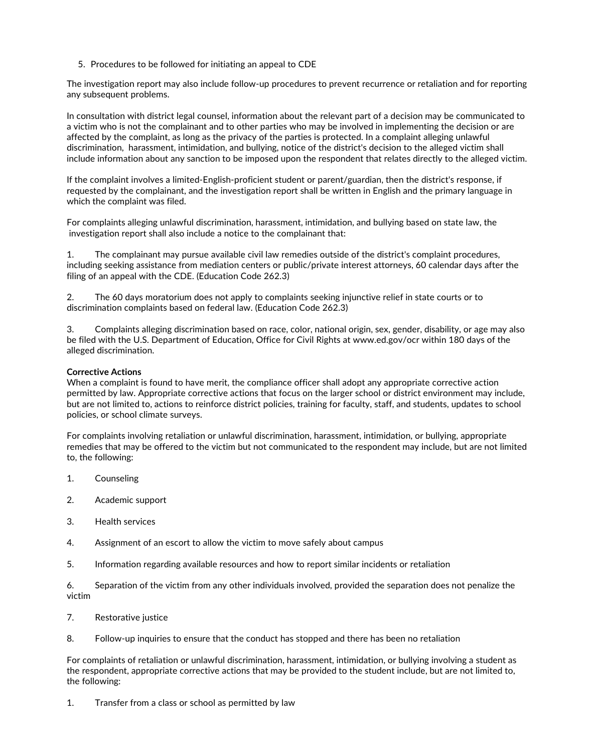5. Procedures to be followed for initiating an appeal to CDE

The investigation report may also include follow-up procedures to prevent recurrence or retaliation and for reporting any subsequent problems.

In consultation with district legal counsel, information about the relevant part of a decision may be communicated to a victim who is not the complainant and to other parties who may be involved in implementing the decision or are affected by the complaint, as long as the privacy of the parties is protected. In a complaint alleging unlawful discrimination, harassment, intimidation, and bullying, notice of the district's decision to the alleged victim shall include information about any sanction to be imposed upon the respondent that relates directly to the alleged victim.

If the complaint involves a limited-English-proficient student or parent/guardian, then the district's response, if requested by the complainant, and the investigation report shall be written in English and the primary language in which the complaint was filed.

For complaints alleging unlawful discrimination, harassment, intimidation, and bullying based on state law, the investigation report shall also include a notice to the complainant that:

1. The complainant may pursue available civil law remedies outside of the district's complaint procedures, including seeking assistance from mediation centers or public/private interest attorneys, 60 calendar days after the filing of an appeal with the CDE. (Education Code 262.3)

2. The 60 days moratorium does not apply to complaints seeking injunctive relief in state courts or to discrimination complaints based on federal law. (Education Code 262.3)

3. Complaints alleging discrimination based on race, color, national origin, sex, gender, disability, or age may also be filed with the U.S. Department of Education, Office for Civil Rights at www.ed.gov/ocr within 180 days of the alleged discrimination.

# **Corrective Actions**

When a complaint is found to have merit, the compliance officer shall adopt any appropriate corrective action permitted by law. Appropriate corrective actions that focus on the larger school or district environment may include,<br>but are not limited to, actions to reinforce district policies, training for faculty, staff, and student policies, or school climate surveys.

For complaints involving retaliation or unlawful discrimination, harassment, intimidation, or bullying, appropriate remedies that may be offered to the victim but not communicated to the respondent may include, but are not limited to, the following:

- 1. Counseling
- 2. Academic support
- 3. Health services
- 4. Assignment of an escort to allow the victim to move safely about campus
- 5. Information regarding available resources and how to report similar incidents or retaliation

6. Separation of the victim from any other individuals involved, provided the separation does not penalize the victim

- 7. Restorative justice
- 8. Follow-up inquiries to ensure that the conduct has stopped and there has been no retaliation

For complaints of retaliation or unlawful discrimination, harassment, intimidation, or bullying involving a student as the respondent, appropriate corrective actions that may be provided to the student include, but are not limited to, the following:

1. Transfer from a class or school as permitted by law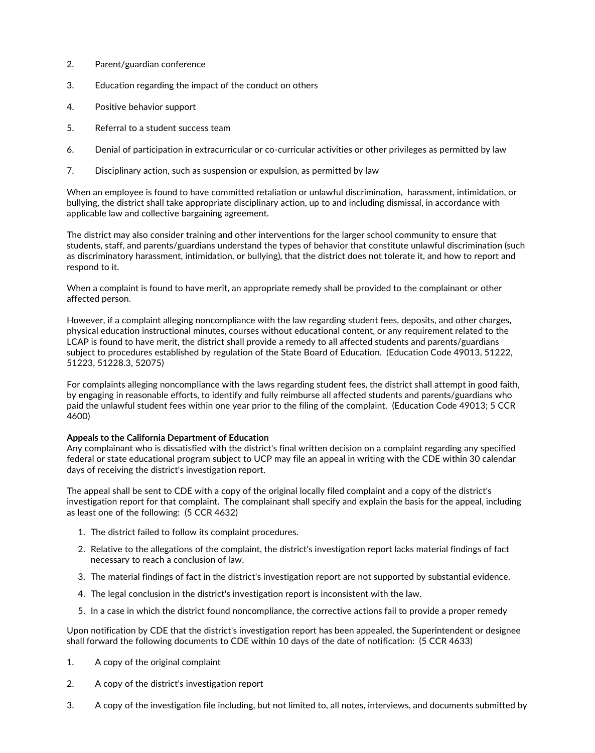- 2. Parent/guardian conference
- 3. Education regarding the impact of the conduct on others
- 4. Positive behavior support
- 5. Referral to a student success team
- 6. Denial of participation in extracurricular or co-curricular activities or other privileges as permitted by law
- 7. Disciplinary action, such as suspension or expulsion, as permitted by law

When an employee is found to have committed retaliation or unlawful discrimination, harassment, intimidation, or bullying, the district shall take appropriate disciplinary action, up to and including dismissal, in accordance with applicable law and collective bargaining agreement.

The district may also consider training and other interventions for the larger school community to ensure that students, staff, and parents/guardians understand the types of behavior that constitute unlawful discrimination (such as discriminatory harassment, intimidation, or bullying), that the district does not tolerate it, and how to report and respond to it.

When a complaint is found to have merit, an appropriate remedy shall be provided to the complainant or other affected person.

However, if a complaint alleging noncompliance with the law regarding student fees, deposits, and other charges,<br>physical education instructional minutes, courses without educational content, or any requirement related to LCAP is found to have merit, the district shall provide a remedy to all affected students and parents/guardians subject to procedures established by regulation of the State Board of Education. (Education Code 49013, 51222,<br>51223, 51228.3, 52075)

For complaints alleging noncompliance with the laws regarding student fees, the district shall attempt in good faith,<br>by engaging in reasonable efforts, to identify and fully reimburse all affected students and parents/gua paid the unlawful student fees within one year prior to the filing of the complaint. (Education Code 49013; 5 CCR 4600)

## **Appeals to the California Department of Education**

Any complainant who is dissatisfied with the district's final written decision on a complaint regarding any specified federal or state educational program subject to UCP may file an appeal in writing with the CDE within 30 calendar days of receiving the district's investigation report.

The appeal shall be sent to CDE with a copy of the original locally filed complaint and a copy of the district's investigation report for that complaint. The complainant shall specify and explain the basis for the appeal, including as least one of the following: (5 CCR 4632)

- 1. The district failed to follow its complaint procedures.
- 2. Relative to the allegations of the complaint, the district's investigation report lacks material findings of fact necessary to reach a conclusion of law.
- 3. The material findings of fact in the district's investigation report are not supported by substantial evidence.
- 4. The legal conclusion in the district's investigation report is inconsistent with the law.
- 5. In a case in which the district found noncompliance, the corrective actions fail to provide a proper remedy

Upon notification by CDE that the district's investigation report has been appealed, the Superintendent or designee shall forward the following documents to CDE within 10 days of the date of notification: (5 CCR 4633)

- 1. A copy of the original complaint
- 2. A copy of the district's investigation report
- 3. A copy of the investigation file including, but not limited to, all notes, interviews, and documents submitted by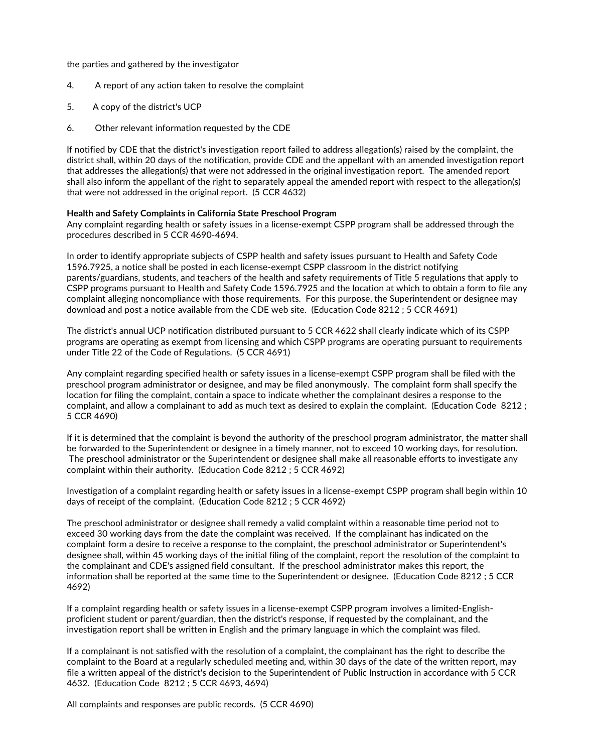the parties and gathered by the investigator

- 4. A report of any action taken to resolve the complaint
- 5. A copy of the district's UCP
- 6. Other relevant information requested by the CDE

If notified by CDE that the district's investigation report failed to address allegation(s) raised by the complaint, the district shall, within 20 days of the notification, provide CDE and the appellant with an amended investigation report that addresses the allegation(s) that were not addressed in the original investigation report. The amended report shall also inform the appellant of the right to separately appeal the amended report with respect to the allegation(s) that were not addressed in the original report. (5 CCR 4632)

## **Health and Safety Complaints in California State Preschool Program**

Any complaint regarding health or safety issues in a license-exempt CSPP program shall be addressed through the procedures described in 5 CCR 4690-4694.

In order to identify appropriate subjects of CSPP health and safety issues pursuant to Health and Safety Code 1596.7925, a notice shall be posted in each license-exempt CSPP classroom in the district notifying parents/guardians, students, and teachers of the health and safety requirements of Title 5 regulations that apply to CSPP programs pursuant to Health and Safety Code 1596.7925 and the location at which to obtain a form to file any complaint alleging noncompliance with those requirements. For this purpose, the Superintendent or designee may download and post a notice available from the CDE web site. (Education Code 8212 ; 5 CCR 4691)

The district's annual UCP notification distributed pursuant to 5 CCR 4622 shall clearly indicate which of its CSPP programs are operating as exempt from licensing and which CSPP programs are operating pursuant to requirements under Title 22 of the Code of Regulations. (5 CCR 4691)

Any complaint regarding specified health or safety issues in a license-exempt CSPP program shall be filed with the preschool program administrator or designee, and may be filed anonymously. The complaint form shall specify the location for filing the complaint, contain a space to indicate whether the complainant desires a response to the complaint, and allow a complainant to add as much text as desired to explain the complaint. (Education Code 8212 ; 5 CCR 4690)

If it is determined that the complaint is beyond the authority of the preschool program administrator, the matter shall be forwarded to the Superintendent or designee in a timely manner, not to exceed 10 working days, for resolution.<br>The preschool administrator or the Superintendent or designee shall make all reasonable efforts to investiga complaint within their authority. (Education Code 8212 ; 5 CCR 4692)

Investigation of a complaint regarding health or safety issues in a license-exempt CSPP program shall begin within 10 days of receipt of the complaint. (Education Code 8212 ; 5 CCR 4692)

The preschool administrator or designee shall remedy a valid complaint within a reasonable time period not to exceed 30 working days from the date the complaint was received. If the complainant has indicated on the complaint form a desire to receive a response to the complaint, the preschool administrator or Superintendent's designee shall, within 45 working days of the initial filing of the complaint, report the resolution of the complaint to the complainant and CDE's assigned field consultant. If the preschool administrator makes this report, the information shall be reported at the same time to the Superintendent or designee. (Education Code 8212 ; 5 CCR 4692)

If <sup>a</sup> complaint regarding health or safety issues in <sup>a</sup> license-exempt CSPP program involves <sup>a</sup> limited-English- proficient student or parent/guardian, then the district's response, if requested by the complainant, and the investigation report shall be written in English and the primary language in which the complaint was filed.

If a complainant is not satisfied with the resolution of a complaint, the complainant has the right to describe the complaint to the Board at a regularly scheduled meeting and, within 30 days of the date of the written report, may file a written appeal of the district's decision to the Superintendent of Public Instruction in accordance with 5 CCR 4632. (Education Code 8212 ; 5 CCR 4693, 4694)

All complaints and responses are public records. (5 CCR 4690)